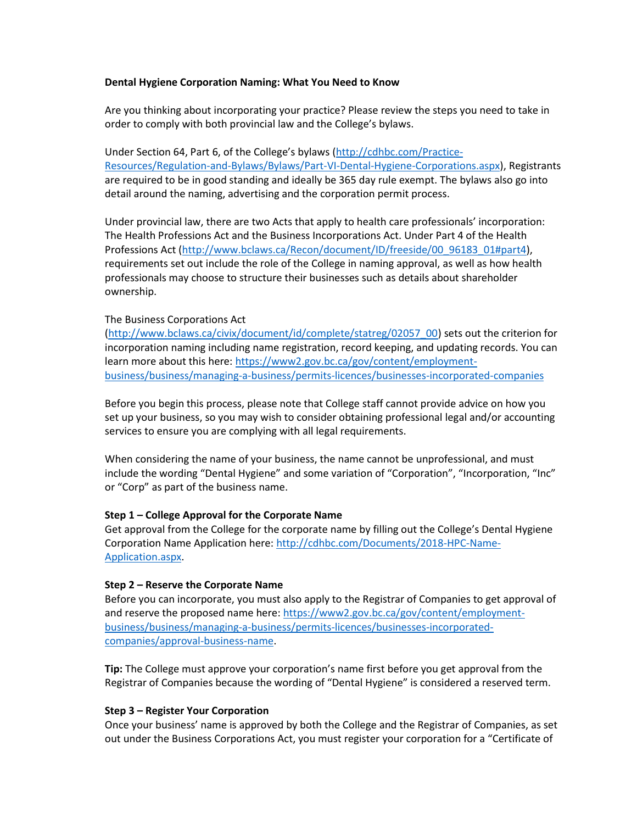### **Dental Hygiene Corporation Naming: What You Need to Know**

Are you thinking about incorporating your practice? Please review the steps you need to take in order to comply with both provincial law and the College's bylaws.

Under Section 64, Part 6, of the College's bylaws ([http://cdhbc.com/Practice-](http://cdhbc.com/Practice-Resources/Regulation-and-Bylaws/Bylaws/Part-VI-Dental-Hygiene-Corporations.aspx)[Resources/Regulation-and-Bylaws/Bylaws/Part-VI-Dental-Hygiene-Corporations.aspx\)](http://cdhbc.com/Practice-Resources/Regulation-and-Bylaws/Bylaws/Part-VI-Dental-Hygiene-Corporations.aspx), Registrants are required to be in good standing and ideally be 365 day rule exempt. The bylaws also go into detail around the naming, advertising and the corporation permit process.

Under provincial law, there are two Acts that apply to health care professionals' incorporation: The Health Professions Act and the Business Incorporations Act. Under Part 4 of the Health Professions Act [\(http://www.bclaws.ca/Recon/document/ID/freeside/00\\_96183\\_01#part4\)](http://www.bclaws.ca/Recon/document/ID/freeside/00_96183_01#part4), requirements set out include the role of the College in naming approval, as well as how health professionals may choose to structure their businesses such as details about shareholder ownership.

### The Business Corporations Act

[\(http://www.bclaws.ca/civix/document/id/complete/statreg/02057\\_00\)](http://www.bclaws.ca/civix/document/id/complete/statreg/02057_00) sets out the criterion for incorporation naming including name registration, record keeping, and updating records. You can learn more about this here: [https://www2.gov.bc.ca/gov/content/employment](https://www2.gov.bc.ca/gov/content/employment-business/business/managing-a-business/permits-licences/businesses-incorporated-companies)[business/business/managing-a-business/permits-licences/businesses-incorporated-companies](https://www2.gov.bc.ca/gov/content/employment-business/business/managing-a-business/permits-licences/businesses-incorporated-companies)

Before you begin this process, please note that College staff cannot provide advice on how you set up your business, so you may wish to consider obtaining professional legal and/or accounting services to ensure you are complying with all legal requirements.

When considering the name of your business, the name cannot be unprofessional, and must include the wording "Dental Hygiene" and some variation of "Corporation", "Incorporation, "Inc" or "Corp" as part of the business name.

## **Step 1 – College Approval for the Corporate Name**

Get approval from the College for the corporate name by filling out the College's Dental Hygiene Corporation Name Application here[: http://cdhbc.com/Documents/2018-HPC-Name-](http://cdhbc.com/Documents/2018-HPC-Name-Application.aspx)[Application.aspx.](http://cdhbc.com/Documents/2018-HPC-Name-Application.aspx)

## **Step 2 – Reserve the Corporate Name**

Before you can incorporate, you must also apply to the Registrar of Companies to get approval of and reserve the proposed name here: [https://www2.gov.bc.ca/gov/content/employment](https://www2.gov.bc.ca/gov/content/employment-business/business/managing-a-business/permits-licences/businesses-incorporated-companies/approval-business-name)[business/business/managing-a-business/permits-licences/businesses-incorporated](https://www2.gov.bc.ca/gov/content/employment-business/business/managing-a-business/permits-licences/businesses-incorporated-companies/approval-business-name)[companies/approval-business-name.](https://www2.gov.bc.ca/gov/content/employment-business/business/managing-a-business/permits-licences/businesses-incorporated-companies/approval-business-name)

**Tip:** The College must approve your corporation's name first before you get approval from the Registrar of Companies because the wording of "Dental Hygiene" is considered a reserved term.

## **Step 3 – Register Your Corporation**

Once your business' name is approved by both the College and the Registrar of Companies, as set out under the Business Corporations Act, you must register your corporation for a "Certificate of